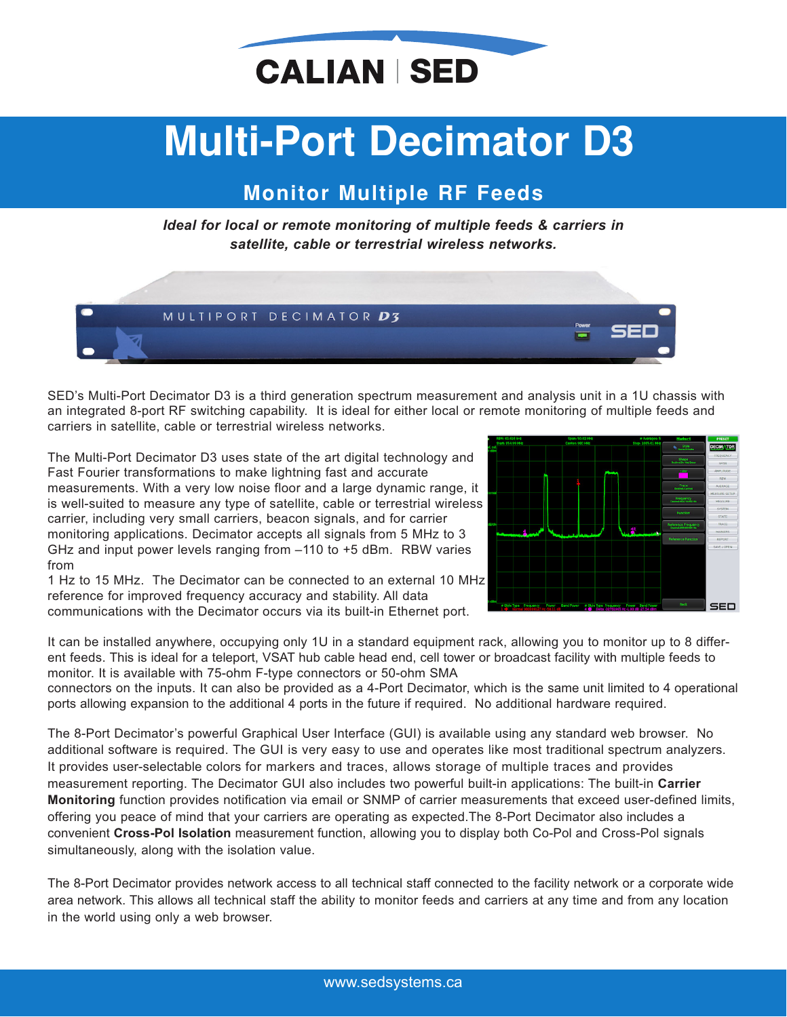

## **Multi−Port Decimator D3**

## **Monitor Multiple RF Feeds**

*Ideal for local or remote monitoring of multiple feeds & carriers in satellite, cable or terrestrial wireless networks.*



SED's Multi-Port Decimator D3 is a third generation spectrum measurement and analysis unit in a 1U chassis with an integrated 8-port RF switching capability. It is ideal for either local or remote monitoring of multiple feeds and carriers in satellite, cable or terrestrial wireless networks.

The Multi-Port Decimator D3 uses state of the art digital technology and Fast Fourier transformations to make lightning fast and accurate measurements. With a very low noise floor and a large dynamic range, it is well-suited to measure any type of satellite, cable or terrestrial wireless carrier, including very small carriers, beacon signals, and for carrier monitoring applications. Decimator accepts all signals from 5 MHz to 3 GHz and input power levels ranging from –110 to +5 dBm. RBW varies from

1 Hz to 15 MHz. The Decimator can be connected to an external 10 MHz reference for improved frequency accuracy and stability. All data communications with the Decimator occurs via its built-in Ethernet port.



It can be installed anywhere, occupying only 1U in a standard equipment rack, allowing you to monitor up to 8 different feeds. This is ideal for a teleport, VSAT hub cable head end, cell tower or broadcast facility with multiple feeds to monitor. It is available with 75-ohm F-type connectors or 50-ohm SMA

connectors on the inputs. It can also be provided as a 4-Port Decimator, which is the same unit limited to 4 operational ports allowing expansion to the additional 4 ports in the future if required. No additional hardware required.

The 8-Port Decimator's powerful Graphical User Interface (GUI) is available using any standard web browser. No additional software is required. The GUI is very easy to use and operates like most traditional spectrum analyzers. It provides user-selectable colors for markers and traces, allows storage of multiple traces and provides measurement reporting. The Decimator GUI also includes two powerful built-in applications: The built-in **Carrier Monitoring** function provides notification via email or SNMP of carrier measurements that exceed user-defined limits, offering you peace of mind that your carriers are operating as expected.The 8-Port Decimator also includes a convenient **Cross-Pol Isolation** measurement function, allowing you to display both Co-Pol and Cross-Pol signals simultaneously, along with the isolation value.

The 8-Port Decimator provides network access to all technical staff connected to the facility network or a corporate wide area network. This allows all technical staff the ability to monitor feeds and carriers at any time and from any location in the world using only a web browser.